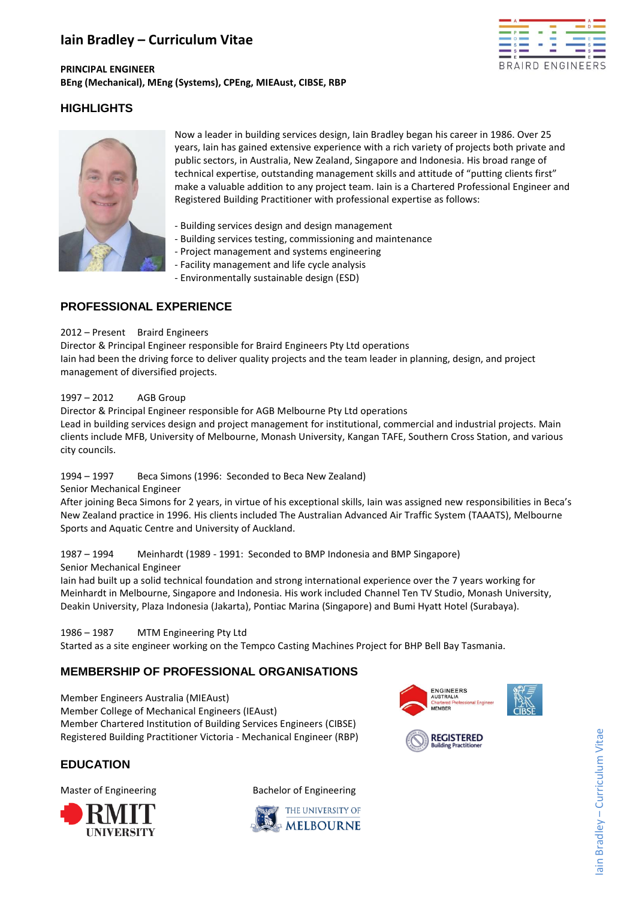# **Iain Bradley – Curriculum Vitae**



## **PRINCIPAL ENGINEER BEng (Mechanical), MEng (Systems), CPEng, MIEAust, CIBSE, RBP**

# **HIGHLIGHTS**



Now a leader in building services design, Iain Bradley began his career in 1986. Over 25 years, Iain has gained extensive experience with a rich variety of projects both private and public sectors, in Australia, New Zealand, Singapore and Indonesia. His broad range of technical expertise, outstanding management skills and attitude of "putting clients first" make a valuable addition to any project team. Iain is a Chartered Professional Engineer and Registered Building Practitioner with professional expertise as follows:

- Building services design and design management
- Building services testing, commissioning and maintenance
- Project management and systems engineering
- Facility management and life cycle analysis
- Environmentally sustainable design (ESD)

# **PROFESSIONAL EXPERIENCE**

### 2012 – Present Braird Engineers

Director & Principal Engineer responsible for Braird Engineers Pty Ltd operations Iain had been the driving force to deliver quality projects and the team leader in planning, design, and project management of diversified projects.

### 1997 – 2012 AGB Group

Director & Principal Engineer responsible for AGB Melbourne Pty Ltd operations Lead in building services design and project management for institutional, commercial and industrial projects. Main clients include MFB, University of Melbourne, Monash University, Kangan TAFE, Southern Cross Station, and various city councils.

## 1994 – 1997 Beca Simons (1996: Seconded to Beca New Zealand)

Senior Mechanical Engineer

After joining Beca Simons for 2 years, in virtue of his exceptional skills, Iain was assigned new responsibilities in Beca's New Zealand practice in 1996. His clients included The Australian Advanced Air Traffic System (TAAATS), Melbourne Sports and Aquatic Centre and University of Auckland.

# 1987 – 1994 Meinhardt (1989 - 1991: Seconded to BMP Indonesia and BMP Singapore)

Senior Mechanical Engineer

Iain had built up a solid technical foundation and strong international experience over the 7 years working for Meinhardt in Melbourne, Singapore and Indonesia. His work included Channel Ten TV Studio, Monash University, Deakin University, Plaza Indonesia (Jakarta), Pontiac Marina (Singapore) and Bumi Hyatt Hotel (Surabaya).

1986 – 1987 MTM Engineering Pty Ltd

Started as a site engineer working on the Tempco Casting Machines Project for BHP Bell Bay Tasmania.

# **MEMBERSHIP OF PROFESSIONAL ORGANISATIONS**

Member Engineers Australia (MIEAust) Member College of Mechanical Engineers (IEAust) Member Chartered Institution of Building Services Engineers (CIBSE) Registered Building Practitioner Victoria - Mechanical Engineer (RBP)



# **EDUCATION**



Master of Engineering **Bachelor** of Engineering